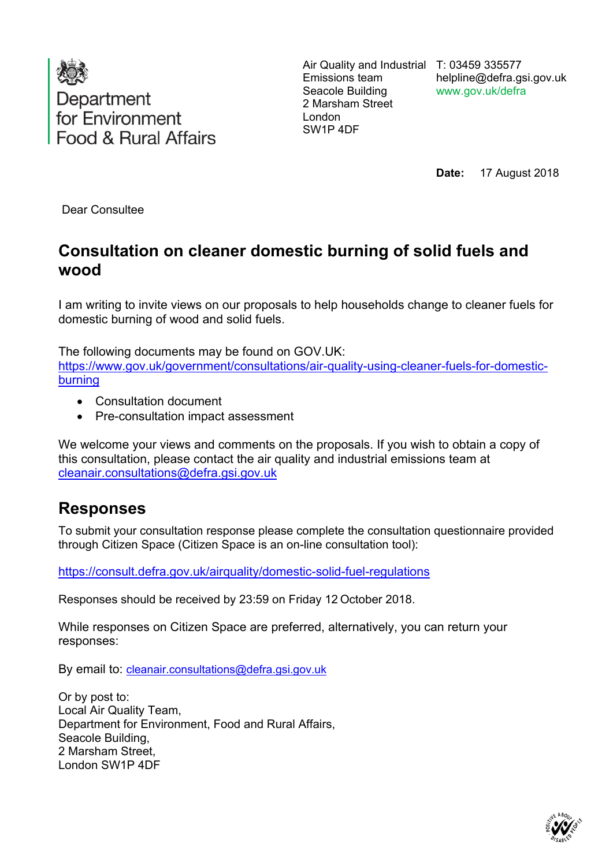

Air Quality and Industrial T: 03459 335577 Emissions team Seacole Building 2 Marsham Street London SW1P 4DF

helpline@defra.gsi.gov.uk www.gov.uk/defra

**Date:** 17 August 2018

Dear Consultee

## **Consultation on cleaner domestic burning of solid fuels and wood**

I am writing to invite views on our proposals to help households change to cleaner fuels for domestic burning of wood and solid fuels.

The following documents may be found on GOV.UK: [https://www.gov.uk/government/consultations/air-quality-using-cleaner-fuels-for-domestic](https://www.gov.uk/government/consultations/air-quality-using-cleaner-fuels-for-domestic-burning)[burning](https://www.gov.uk/government/consultations/air-quality-using-cleaner-fuels-for-domestic-burning)

- Consultation document
- Pre-consultation impact assessment

We welcome your views and comments on the proposals. If you wish to obtain a copy of this consultation, please contact the air quality and industrial emissions team at [cleanair.consultations@defra.gsi.gov.uk](mailto:cleanair.consultations@defra.gsi.gov.uk)

## **Responses**

To submit your consultation response please complete the consultation questionnaire provided through Citizen Space (Citizen Space is an on-line consultation tool):

<https://consult.defra.gov.uk/airquality/domestic-solid-fuel-regulations>

Responses should be received by 23:59 on Friday 12 October 2018.

While responses on Citizen Space are preferred, alternatively, you can return your responses:

By email to: [cleanair.consultations@defra.gsi.gov.uk](mailto:cleanair.consultations@defra.gsi.gov.uk)

Or by post to: Local Air Quality Team, Department for Environment, Food and Rural Affairs, Seacole Building, 2 Marsham Street, London SW1P 4DF